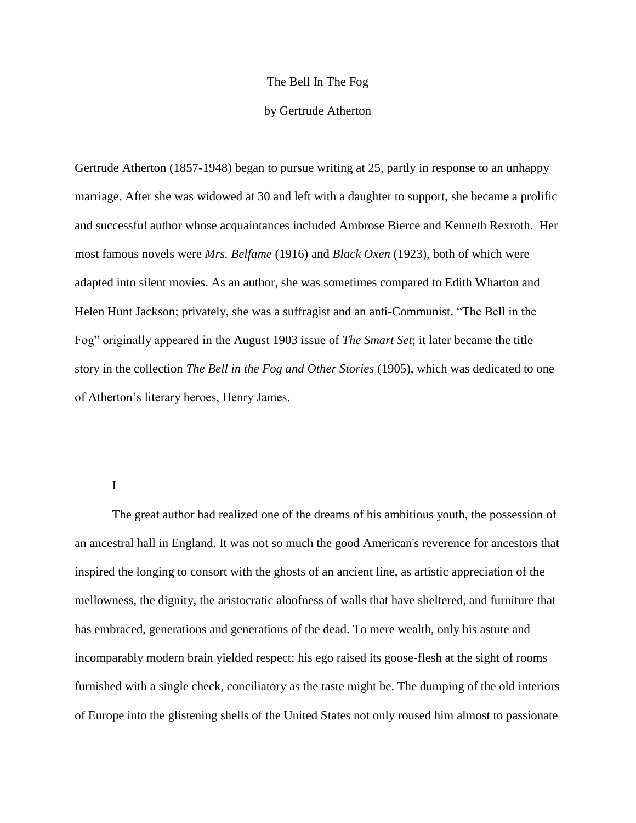## The Bell In The Fog

## by Gertrude Atherton

Gertrude Atherton (1857-1948) began to pursue writing at 25, partly in response to an unhappy marriage. After she was widowed at 30 and left with a daughter to support, she became a prolific and successful author whose acquaintances included Ambrose Bierce and Kenneth Rexroth. Her most famous novels were *Mrs. Belfame* (1916) and *Black Oxen* (1923), both of which were adapted into silent movies. As an author, she was sometimes compared to Edith Wharton and Helen Hunt Jackson; privately, she was a suffragist and an anti-Communist. "The Bell in the Fog" originally appeared in the August 1903 issue of *The Smart Set*; it later became the title story in the collection *The Bell in the Fog and Other Stories* (1905), which was dedicated to one of Atherton's literary heroes, Henry James.

## I

The great author had realized one of the dreams of his ambitious youth, the possession of an ancestral hall in England. It was not so much the good American's reverence for ancestors that inspired the longing to consort with the ghosts of an ancient line, as artistic appreciation of the mellowness, the dignity, the aristocratic aloofness of walls that have sheltered, and furniture that has embraced, generations and generations of the dead. To mere wealth, only his astute and incomparably modern brain yielded respect; his ego raised its goose-flesh at the sight of rooms furnished with a single check, conciliatory as the taste might be. The dumping of the old interiors of Europe into the glistening shells of the United States not only roused him almost to passionate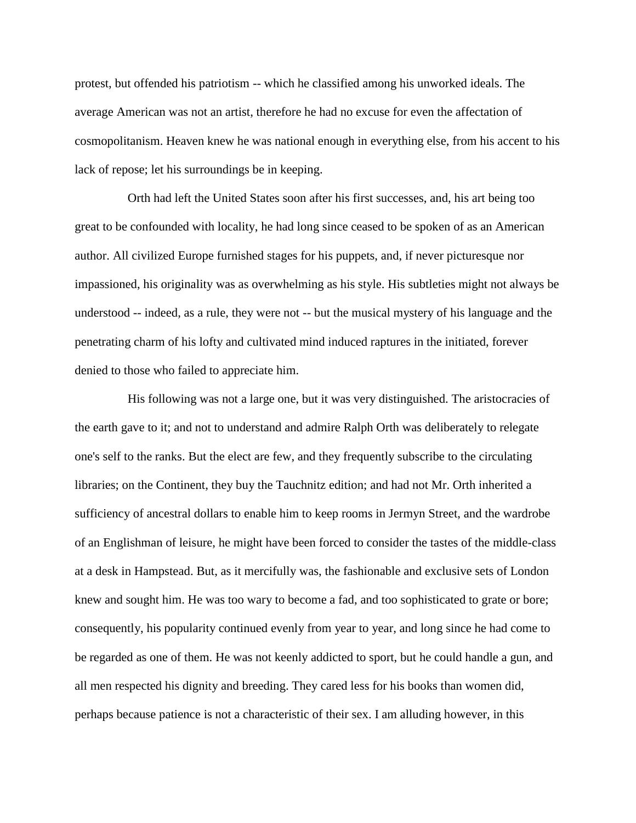protest, but offended his patriotism -- which he classified among his unworked ideals. The average American was not an artist, therefore he had no excuse for even the affectation of cosmopolitanism. Heaven knew he was national enough in everything else, from his accent to his lack of repose; let his surroundings be in keeping.

 Orth had left the United States soon after his first successes, and, his art being too great to be confounded with locality, he had long since ceased to be spoken of as an American author. All civilized Europe furnished stages for his puppets, and, if never picturesque nor impassioned, his originality was as overwhelming as his style. His subtleties might not always be understood -- indeed, as a rule, they were not -- but the musical mystery of his language and the penetrating charm of his lofty and cultivated mind induced raptures in the initiated, forever denied to those who failed to appreciate him.

 His following was not a large one, but it was very distinguished. The aristocracies of the earth gave to it; and not to understand and admire Ralph Orth was deliberately to relegate one's self to the ranks. But the elect are few, and they frequently subscribe to the circulating libraries; on the Continent, they buy the Tauchnitz edition; and had not Mr. Orth inherited a sufficiency of ancestral dollars to enable him to keep rooms in Jermyn Street, and the wardrobe of an Englishman of leisure, he might have been forced to consider the tastes of the middle-class at a desk in Hampstead. But, as it mercifully was, the fashionable and exclusive sets of London knew and sought him. He was too wary to become a fad, and too sophisticated to grate or bore; consequently, his popularity continued evenly from year to year, and long since he had come to be regarded as one of them. He was not keenly addicted to sport, but he could handle a gun, and all men respected his dignity and breeding. They cared less for his books than women did, perhaps because patience is not a characteristic of their sex. I am alluding however, in this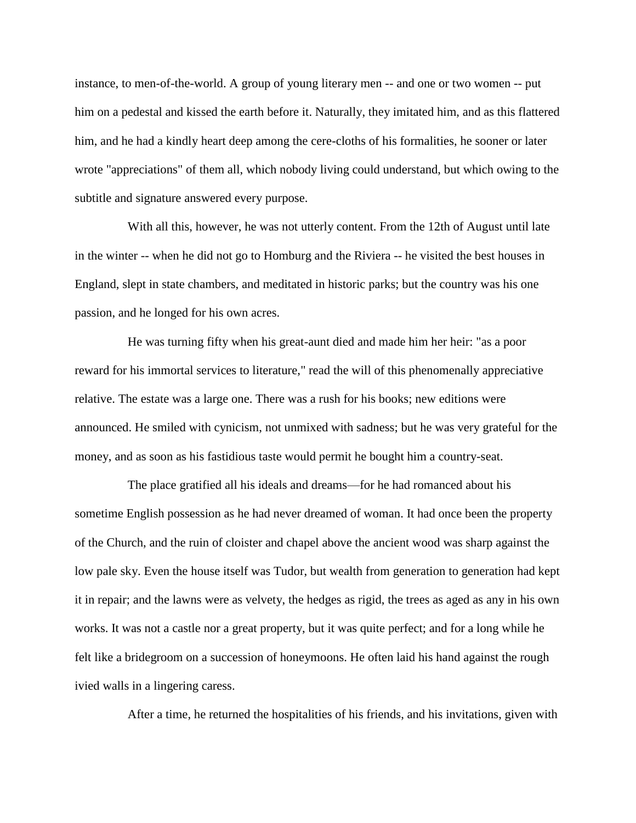instance, to men-of-the-world. A group of young literary men -- and one or two women -- put him on a pedestal and kissed the earth before it. Naturally, they imitated him, and as this flattered him, and he had a kindly heart deep among the cere-cloths of his formalities, he sooner or later wrote "appreciations" of them all, which nobody living could understand, but which owing to the subtitle and signature answered every purpose.

 With all this, however, he was not utterly content. From the 12th of August until late in the winter -- when he did not go to Homburg and the Riviera -- he visited the best houses in England, slept in state chambers, and meditated in historic parks; but the country was his one passion, and he longed for his own acres.

 He was turning fifty when his great-aunt died and made him her heir: "as a poor reward for his immortal services to literature," read the will of this phenomenally appreciative relative. The estate was a large one. There was a rush for his books; new editions were announced. He smiled with cynicism, not unmixed with sadness; but he was very grateful for the money, and as soon as his fastidious taste would permit he bought him a country-seat.

 The place gratified all his ideals and dreams—for he had romanced about his sometime English possession as he had never dreamed of woman. It had once been the property of the Church, and the ruin of cloister and chapel above the ancient wood was sharp against the low pale sky. Even the house itself was Tudor, but wealth from generation to generation had kept it in repair; and the lawns were as velvety, the hedges as rigid, the trees as aged as any in his own works. It was not a castle nor a great property, but it was quite perfect; and for a long while he felt like a bridegroom on a succession of honeymoons. He often laid his hand against the rough ivied walls in a lingering caress.

After a time, he returned the hospitalities of his friends, and his invitations, given with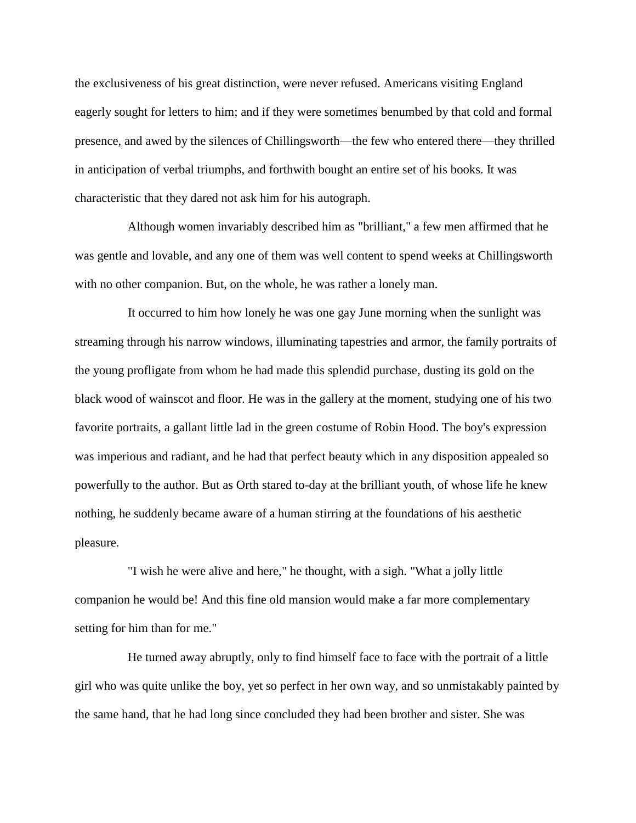the exclusiveness of his great distinction, were never refused. Americans visiting England eagerly sought for letters to him; and if they were sometimes benumbed by that cold and formal presence, and awed by the silences of Chillingsworth—the few who entered there—they thrilled in anticipation of verbal triumphs, and forthwith bought an entire set of his books. It was characteristic that they dared not ask him for his autograph.

 Although women invariably described him as "brilliant," a few men affirmed that he was gentle and lovable, and any one of them was well content to spend weeks at Chillingsworth with no other companion. But, on the whole, he was rather a lonely man.

 It occurred to him how lonely he was one gay June morning when the sunlight was streaming through his narrow windows, illuminating tapestries and armor, the family portraits of the young profligate from whom he had made this splendid purchase, dusting its gold on the black wood of wainscot and floor. He was in the gallery at the moment, studying one of his two favorite portraits, a gallant little lad in the green costume of Robin Hood. The boy's expression was imperious and radiant, and he had that perfect beauty which in any disposition appealed so powerfully to the author. But as Orth stared to-day at the brilliant youth, of whose life he knew nothing, he suddenly became aware of a human stirring at the foundations of his aesthetic pleasure.

 "I wish he were alive and here," he thought, with a sigh. "What a jolly little companion he would be! And this fine old mansion would make a far more complementary setting for him than for me."

 He turned away abruptly, only to find himself face to face with the portrait of a little girl who was quite unlike the boy, yet so perfect in her own way, and so unmistakably painted by the same hand, that he had long since concluded they had been brother and sister. She was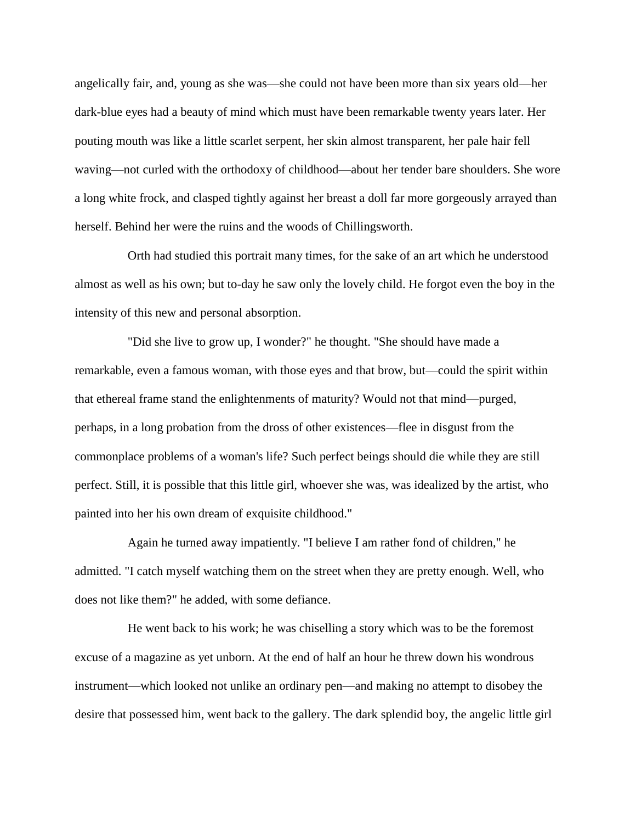angelically fair, and, young as she was—she could not have been more than six years old—her dark-blue eyes had a beauty of mind which must have been remarkable twenty years later. Her pouting mouth was like a little scarlet serpent, her skin almost transparent, her pale hair fell waving—not curled with the orthodoxy of childhood—about her tender bare shoulders. She wore a long white frock, and clasped tightly against her breast a doll far more gorgeously arrayed than herself. Behind her were the ruins and the woods of Chillingsworth.

 Orth had studied this portrait many times, for the sake of an art which he understood almost as well as his own; but to-day he saw only the lovely child. He forgot even the boy in the intensity of this new and personal absorption.

 "Did she live to grow up, I wonder?" he thought. "She should have made a remarkable, even a famous woman, with those eyes and that brow, but—could the spirit within that ethereal frame stand the enlightenments of maturity? Would not that mind—purged, perhaps, in a long probation from the dross of other existences—flee in disgust from the commonplace problems of a woman's life? Such perfect beings should die while they are still perfect. Still, it is possible that this little girl, whoever she was, was idealized by the artist, who painted into her his own dream of exquisite childhood."

 Again he turned away impatiently. "I believe I am rather fond of children," he admitted. "I catch myself watching them on the street when they are pretty enough. Well, who does not like them?" he added, with some defiance.

 He went back to his work; he was chiselling a story which was to be the foremost excuse of a magazine as yet unborn. At the end of half an hour he threw down his wondrous instrument—which looked not unlike an ordinary pen—and making no attempt to disobey the desire that possessed him, went back to the gallery. The dark splendid boy, the angelic little girl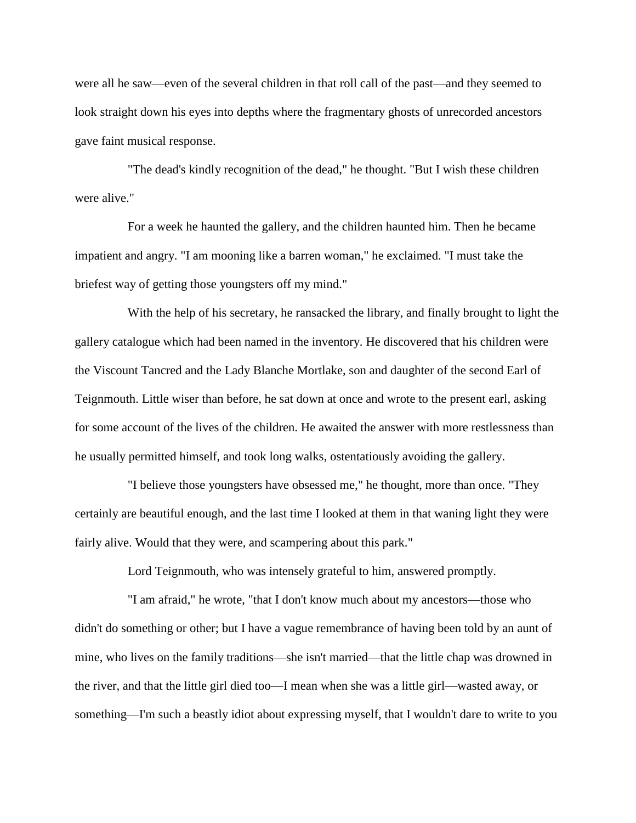were all he saw—even of the several children in that roll call of the past—and they seemed to look straight down his eyes into depths where the fragmentary ghosts of unrecorded ancestors gave faint musical response.

 "The dead's kindly recognition of the dead," he thought. "But I wish these children were alive."

 For a week he haunted the gallery, and the children haunted him. Then he became impatient and angry. "I am mooning like a barren woman," he exclaimed. "I must take the briefest way of getting those youngsters off my mind."

 With the help of his secretary, he ransacked the library, and finally brought to light the gallery catalogue which had been named in the inventory. He discovered that his children were the Viscount Tancred and the Lady Blanche Mortlake, son and daughter of the second Earl of Teignmouth. Little wiser than before, he sat down at once and wrote to the present earl, asking for some account of the lives of the children. He awaited the answer with more restlessness than he usually permitted himself, and took long walks, ostentatiously avoiding the gallery.

 "I believe those youngsters have obsessed me," he thought, more than once. "They certainly are beautiful enough, and the last time I looked at them in that waning light they were fairly alive. Would that they were, and scampering about this park."

Lord Teignmouth, who was intensely grateful to him, answered promptly.

 "I am afraid," he wrote, "that I don't know much about my ancestors—those who didn't do something or other; but I have a vague remembrance of having been told by an aunt of mine, who lives on the family traditions—she isn't married—that the little chap was drowned in the river, and that the little girl died too—I mean when she was a little girl—wasted away, or something—I'm such a beastly idiot about expressing myself, that I wouldn't dare to write to you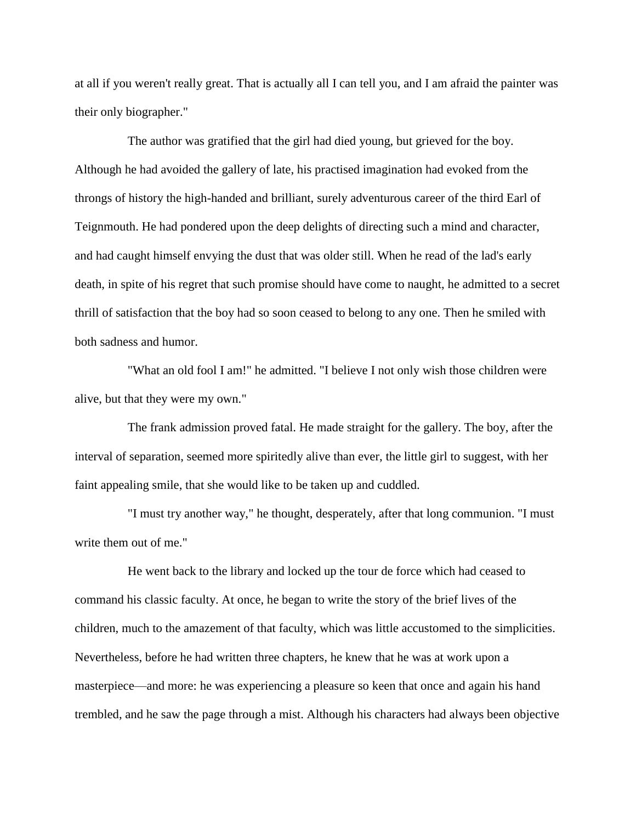at all if you weren't really great. That is actually all I can tell you, and I am afraid the painter was their only biographer."

 The author was gratified that the girl had died young, but grieved for the boy. Although he had avoided the gallery of late, his practised imagination had evoked from the throngs of history the high-handed and brilliant, surely adventurous career of the third Earl of Teignmouth. He had pondered upon the deep delights of directing such a mind and character, and had caught himself envying the dust that was older still. When he read of the lad's early death, in spite of his regret that such promise should have come to naught, he admitted to a secret thrill of satisfaction that the boy had so soon ceased to belong to any one. Then he smiled with both sadness and humor.

 "What an old fool I am!" he admitted. "I believe I not only wish those children were alive, but that they were my own."

 The frank admission proved fatal. He made straight for the gallery. The boy, after the interval of separation, seemed more spiritedly alive than ever, the little girl to suggest, with her faint appealing smile, that she would like to be taken up and cuddled.

 "I must try another way," he thought, desperately, after that long communion. "I must write them out of me."

 He went back to the library and locked up the tour de force which had ceased to command his classic faculty. At once, he began to write the story of the brief lives of the children, much to the amazement of that faculty, which was little accustomed to the simplicities. Nevertheless, before he had written three chapters, he knew that he was at work upon a masterpiece—and more: he was experiencing a pleasure so keen that once and again his hand trembled, and he saw the page through a mist. Although his characters had always been objective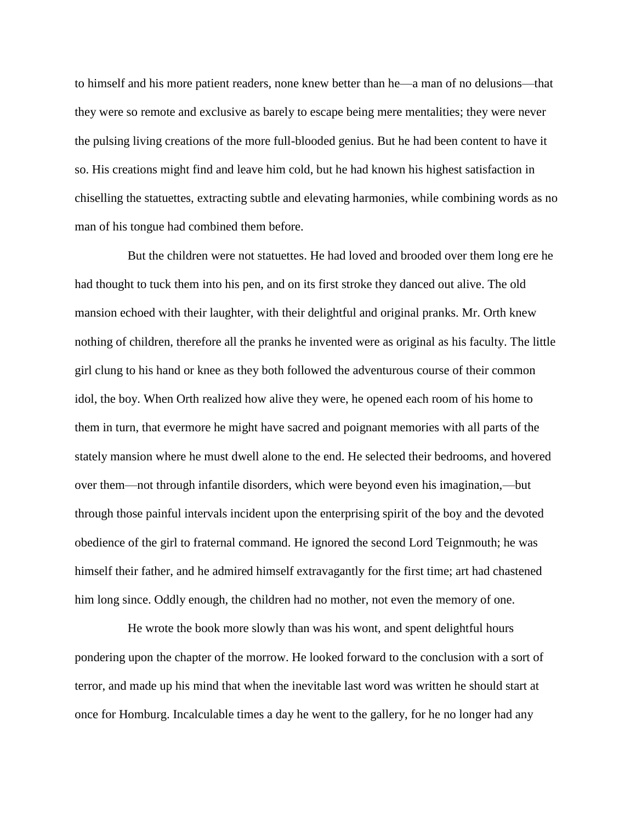to himself and his more patient readers, none knew better than he—a man of no delusions—that they were so remote and exclusive as barely to escape being mere mentalities; they were never the pulsing living creations of the more full-blooded genius. But he had been content to have it so. His creations might find and leave him cold, but he had known his highest satisfaction in chiselling the statuettes, extracting subtle and elevating harmonies, while combining words as no man of his tongue had combined them before.

 But the children were not statuettes. He had loved and brooded over them long ere he had thought to tuck them into his pen, and on its first stroke they danced out alive. The old mansion echoed with their laughter, with their delightful and original pranks. Mr. Orth knew nothing of children, therefore all the pranks he invented were as original as his faculty. The little girl clung to his hand or knee as they both followed the adventurous course of their common idol, the boy. When Orth realized how alive they were, he opened each room of his home to them in turn, that evermore he might have sacred and poignant memories with all parts of the stately mansion where he must dwell alone to the end. He selected their bedrooms, and hovered over them—not through infantile disorders, which were beyond even his imagination,—but through those painful intervals incident upon the enterprising spirit of the boy and the devoted obedience of the girl to fraternal command. He ignored the second Lord Teignmouth; he was himself their father, and he admired himself extravagantly for the first time; art had chastened him long since. Oddly enough, the children had no mother, not even the memory of one.

 He wrote the book more slowly than was his wont, and spent delightful hours pondering upon the chapter of the morrow. He looked forward to the conclusion with a sort of terror, and made up his mind that when the inevitable last word was written he should start at once for Homburg. Incalculable times a day he went to the gallery, for he no longer had any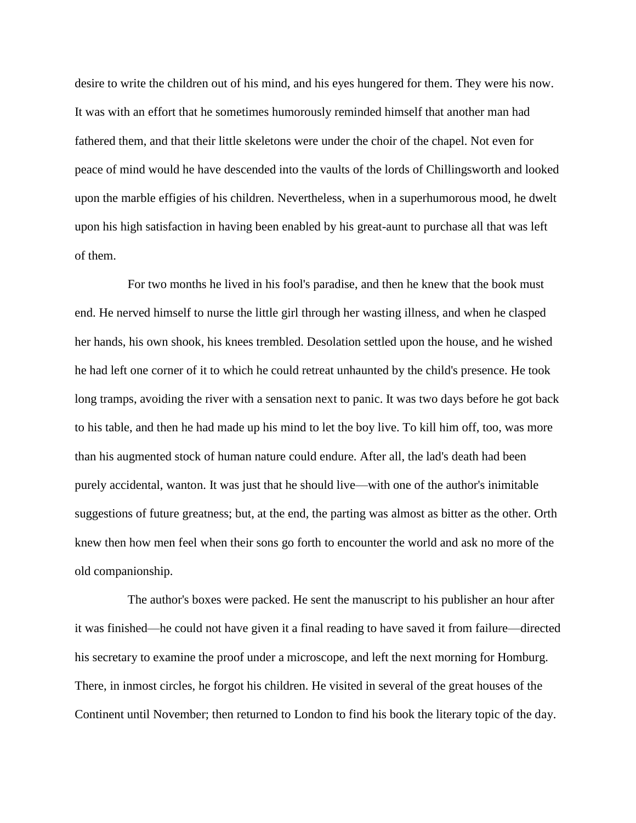desire to write the children out of his mind, and his eyes hungered for them. They were his now. It was with an effort that he sometimes humorously reminded himself that another man had fathered them, and that their little skeletons were under the choir of the chapel. Not even for peace of mind would he have descended into the vaults of the lords of Chillingsworth and looked upon the marble effigies of his children. Nevertheless, when in a superhumorous mood, he dwelt upon his high satisfaction in having been enabled by his great-aunt to purchase all that was left of them.

 For two months he lived in his fool's paradise, and then he knew that the book must end. He nerved himself to nurse the little girl through her wasting illness, and when he clasped her hands, his own shook, his knees trembled. Desolation settled upon the house, and he wished he had left one corner of it to which he could retreat unhaunted by the child's presence. He took long tramps, avoiding the river with a sensation next to panic. It was two days before he got back to his table, and then he had made up his mind to let the boy live. To kill him off, too, was more than his augmented stock of human nature could endure. After all, the lad's death had been purely accidental, wanton. It was just that he should live—with one of the author's inimitable suggestions of future greatness; but, at the end, the parting was almost as bitter as the other. Orth knew then how men feel when their sons go forth to encounter the world and ask no more of the old companionship.

 The author's boxes were packed. He sent the manuscript to his publisher an hour after it was finished—he could not have given it a final reading to have saved it from failure—directed his secretary to examine the proof under a microscope, and left the next morning for Homburg. There, in inmost circles, he forgot his children. He visited in several of the great houses of the Continent until November; then returned to London to find his book the literary topic of the day.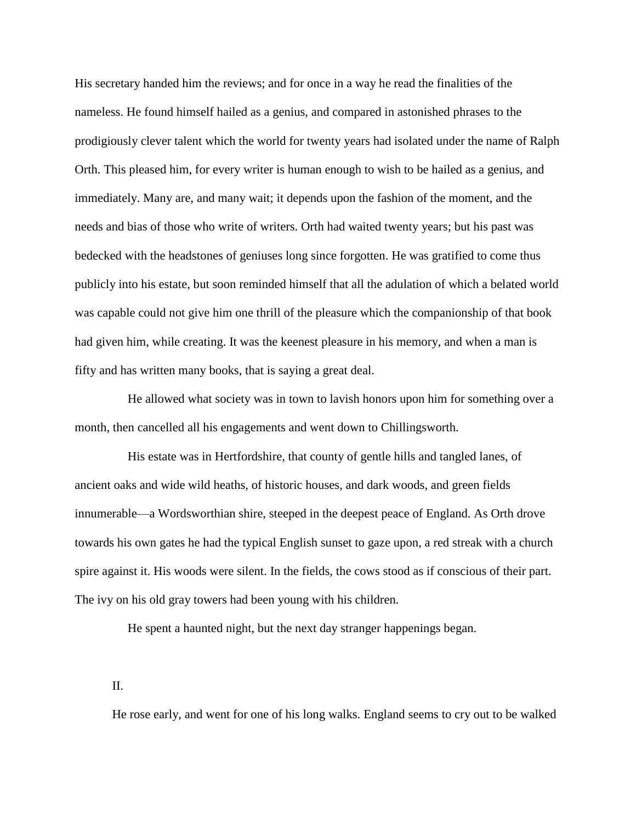His secretary handed him the reviews; and for once in a way he read the finalities of the nameless. He found himself hailed as a genius, and compared in astonished phrases to the prodigiously clever talent which the world for twenty years had isolated under the name of Ralph Orth. This pleased him, for every writer is human enough to wish to be hailed as a genius, and immediately. Many are, and many wait; it depends upon the fashion of the moment, and the needs and bias of those who write of writers. Orth had waited twenty years; but his past was bedecked with the headstones of geniuses long since forgotten. He was gratified to come thus publicly into his estate, but soon reminded himself that all the adulation of which a belated world was capable could not give him one thrill of the pleasure which the companionship of that book had given him, while creating. It was the keenest pleasure in his memory, and when a man is fifty and has written many books, that is saying a great deal.

 He allowed what society was in town to lavish honors upon him for something over a month, then cancelled all his engagements and went down to Chillingsworth.

 His estate was in Hertfordshire, that county of gentle hills and tangled lanes, of ancient oaks and wide wild heaths, of historic houses, and dark woods, and green fields innumerable—a Wordsworthian shire, steeped in the deepest peace of England. As Orth drove towards his own gates he had the typical English sunset to gaze upon, a red streak with a church spire against it. His woods were silent. In the fields, the cows stood as if conscious of their part. The ivy on his old gray towers had been young with his children.

He spent a haunted night, but the next day stranger happenings began.

II.

He rose early, and went for one of his long walks. England seems to cry out to be walked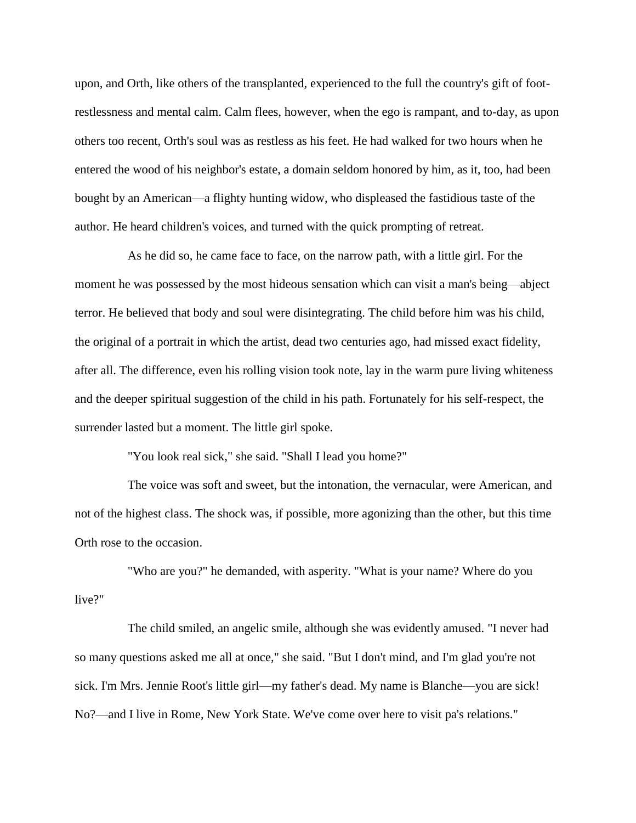upon, and Orth, like others of the transplanted, experienced to the full the country's gift of footrestlessness and mental calm. Calm flees, however, when the ego is rampant, and to-day, as upon others too recent, Orth's soul was as restless as his feet. He had walked for two hours when he entered the wood of his neighbor's estate, a domain seldom honored by him, as it, too, had been bought by an American—a flighty hunting widow, who displeased the fastidious taste of the author. He heard children's voices, and turned with the quick prompting of retreat.

 As he did so, he came face to face, on the narrow path, with a little girl. For the moment he was possessed by the most hideous sensation which can visit a man's being—abject terror. He believed that body and soul were disintegrating. The child before him was his child, the original of a portrait in which the artist, dead two centuries ago, had missed exact fidelity, after all. The difference, even his rolling vision took note, lay in the warm pure living whiteness and the deeper spiritual suggestion of the child in his path. Fortunately for his self-respect, the surrender lasted but a moment. The little girl spoke.

"You look real sick," she said. "Shall I lead you home?"

 The voice was soft and sweet, but the intonation, the vernacular, were American, and not of the highest class. The shock was, if possible, more agonizing than the other, but this time Orth rose to the occasion.

 "Who are you?" he demanded, with asperity. "What is your name? Where do you live?"

 The child smiled, an angelic smile, although she was evidently amused. "I never had so many questions asked me all at once," she said. "But I don't mind, and I'm glad you're not sick. I'm Mrs. Jennie Root's little girl—my father's dead. My name is Blanche—you are sick! No?—and I live in Rome, New York State. We've come over here to visit pa's relations."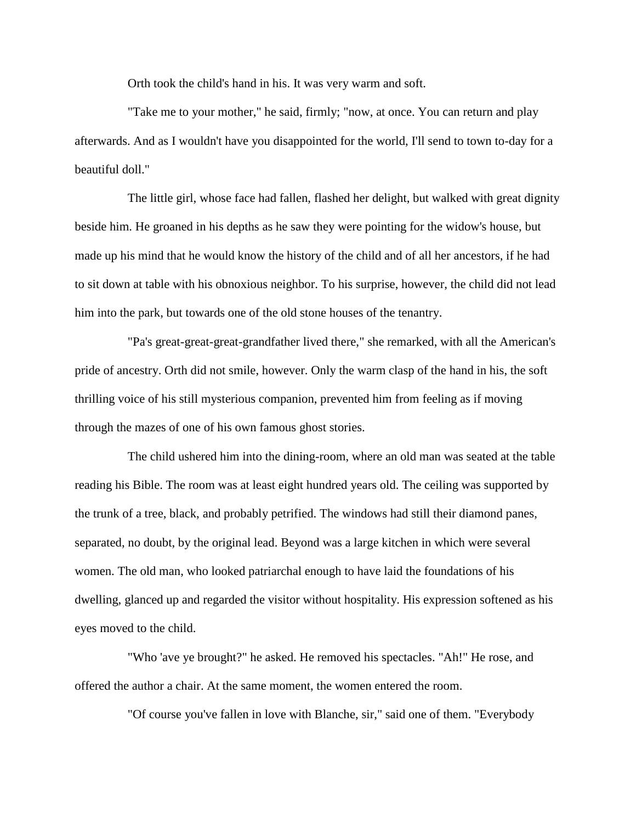Orth took the child's hand in his. It was very warm and soft.

 "Take me to your mother," he said, firmly; "now, at once. You can return and play afterwards. And as I wouldn't have you disappointed for the world, I'll send to town to-day for a beautiful doll."

 The little girl, whose face had fallen, flashed her delight, but walked with great dignity beside him. He groaned in his depths as he saw they were pointing for the widow's house, but made up his mind that he would know the history of the child and of all her ancestors, if he had to sit down at table with his obnoxious neighbor. To his surprise, however, the child did not lead him into the park, but towards one of the old stone houses of the tenantry.

 "Pa's great-great-great-grandfather lived there," she remarked, with all the American's pride of ancestry. Orth did not smile, however. Only the warm clasp of the hand in his, the soft thrilling voice of his still mysterious companion, prevented him from feeling as if moving through the mazes of one of his own famous ghost stories.

 The child ushered him into the dining-room, where an old man was seated at the table reading his Bible. The room was at least eight hundred years old. The ceiling was supported by the trunk of a tree, black, and probably petrified. The windows had still their diamond panes, separated, no doubt, by the original lead. Beyond was a large kitchen in which were several women. The old man, who looked patriarchal enough to have laid the foundations of his dwelling, glanced up and regarded the visitor without hospitality. His expression softened as his eyes moved to the child.

 "Who 'ave ye brought?" he asked. He removed his spectacles. "Ah!" He rose, and offered the author a chair. At the same moment, the women entered the room.

"Of course you've fallen in love with Blanche, sir," said one of them. "Everybody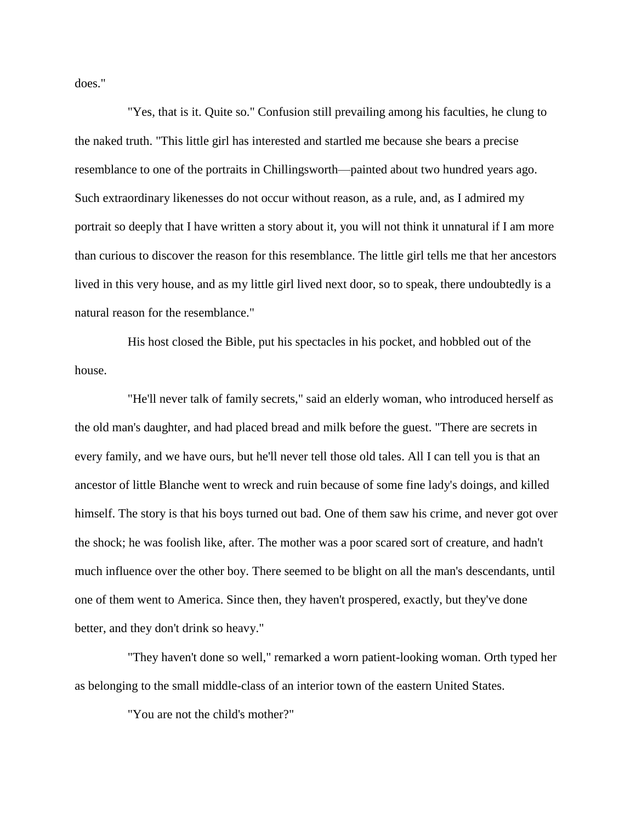does."

 "Yes, that is it. Quite so." Confusion still prevailing among his faculties, he clung to the naked truth. "This little girl has interested and startled me because she bears a precise resemblance to one of the portraits in Chillingsworth—painted about two hundred years ago. Such extraordinary likenesses do not occur without reason, as a rule, and, as I admired my portrait so deeply that I have written a story about it, you will not think it unnatural if I am more than curious to discover the reason for this resemblance. The little girl tells me that her ancestors lived in this very house, and as my little girl lived next door, so to speak, there undoubtedly is a natural reason for the resemblance."

 His host closed the Bible, put his spectacles in his pocket, and hobbled out of the house.

 "He'll never talk of family secrets," said an elderly woman, who introduced herself as the old man's daughter, and had placed bread and milk before the guest. "There are secrets in every family, and we have ours, but he'll never tell those old tales. All I can tell you is that an ancestor of little Blanche went to wreck and ruin because of some fine lady's doings, and killed himself. The story is that his boys turned out bad. One of them saw his crime, and never got over the shock; he was foolish like, after. The mother was a poor scared sort of creature, and hadn't much influence over the other boy. There seemed to be blight on all the man's descendants, until one of them went to America. Since then, they haven't prospered, exactly, but they've done better, and they don't drink so heavy."

 "They haven't done so well," remarked a worn patient-looking woman. Orth typed her as belonging to the small middle-class of an interior town of the eastern United States.

"You are not the child's mother?"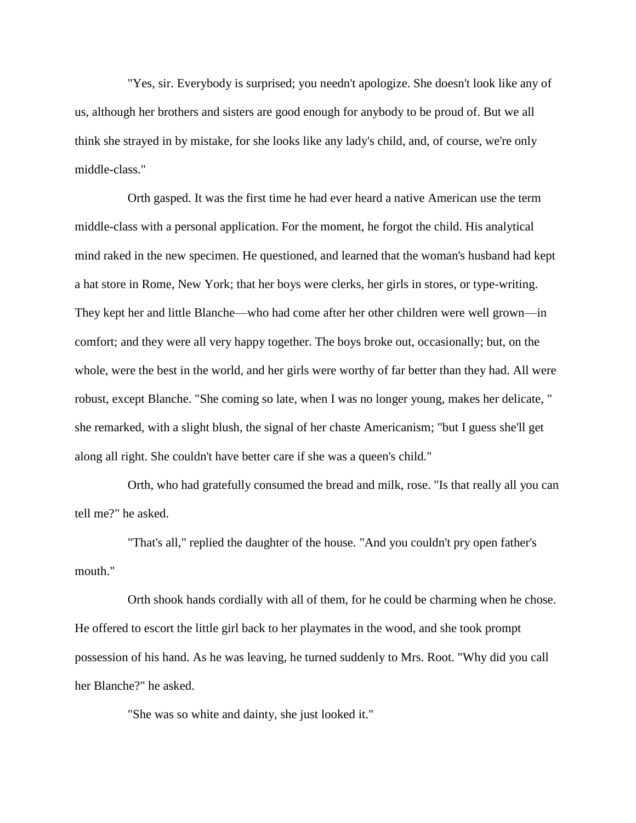"Yes, sir. Everybody is surprised; you needn't apologize. She doesn't look like any of us, although her brothers and sisters are good enough for anybody to be proud of. But we all think she strayed in by mistake, for she looks like any lady's child, and, of course, we're only middle-class."

 Orth gasped. It was the first time he had ever heard a native American use the term middle-class with a personal application. For the moment, he forgot the child. His analytical mind raked in the new specimen. He questioned, and learned that the woman's husband had kept a hat store in Rome, New York; that her boys were clerks, her girls in stores, or type-writing. They kept her and little Blanche—who had come after her other children were well grown—in comfort; and they were all very happy together. The boys broke out, occasionally; but, on the whole, were the best in the world, and her girls were worthy of far better than they had. All were robust, except Blanche. "She coming so late, when I was no longer young, makes her delicate, " she remarked, with a slight blush, the signal of her chaste Americanism; "but I guess she'll get along all right. She couldn't have better care if she was a queen's child."

 Orth, who had gratefully consumed the bread and milk, rose. "Is that really all you can tell me?" he asked.

 "That's all," replied the daughter of the house. "And you couldn't pry open father's mouth."

 Orth shook hands cordially with all of them, for he could be charming when he chose. He offered to escort the little girl back to her playmates in the wood, and she took prompt possession of his hand. As he was leaving, he turned suddenly to Mrs. Root. "Why did you call her Blanche?" he asked.

"She was so white and dainty, she just looked it."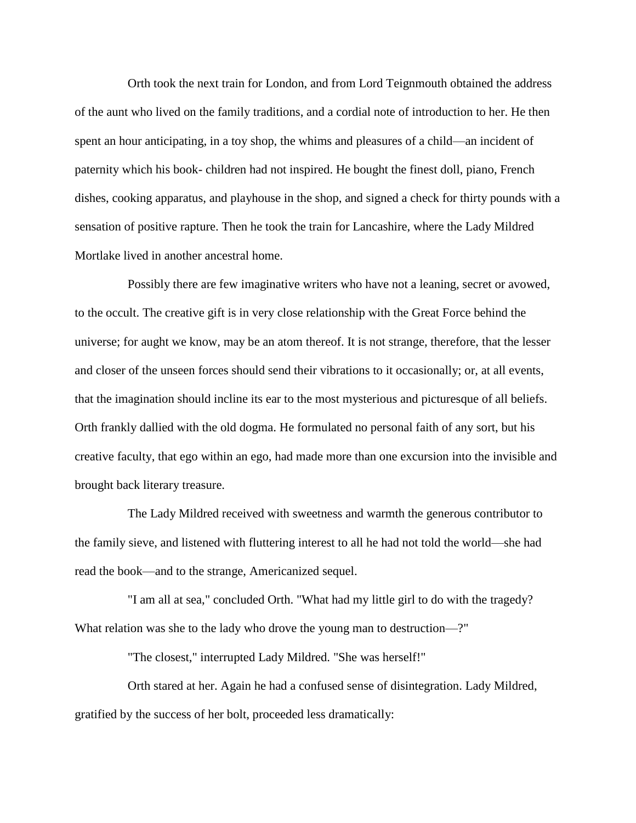Orth took the next train for London, and from Lord Teignmouth obtained the address of the aunt who lived on the family traditions, and a cordial note of introduction to her. He then spent an hour anticipating, in a toy shop, the whims and pleasures of a child—an incident of paternity which his book- children had not inspired. He bought the finest doll, piano, French dishes, cooking apparatus, and playhouse in the shop, and signed a check for thirty pounds with a sensation of positive rapture. Then he took the train for Lancashire, where the Lady Mildred Mortlake lived in another ancestral home.

 Possibly there are few imaginative writers who have not a leaning, secret or avowed, to the occult. The creative gift is in very close relationship with the Great Force behind the universe; for aught we know, may be an atom thereof. It is not strange, therefore, that the lesser and closer of the unseen forces should send their vibrations to it occasionally; or, at all events, that the imagination should incline its ear to the most mysterious and picturesque of all beliefs. Orth frankly dallied with the old dogma. He formulated no personal faith of any sort, but his creative faculty, that ego within an ego, had made more than one excursion into the invisible and brought back literary treasure.

 The Lady Mildred received with sweetness and warmth the generous contributor to the family sieve, and listened with fluttering interest to all he had not told the world—she had read the book—and to the strange, Americanized sequel.

 "I am all at sea," concluded Orth. "What had my little girl to do with the tragedy? What relation was she to the lady who drove the young man to destruction—?"

"The closest," interrupted Lady Mildred. "She was herself!"

 Orth stared at her. Again he had a confused sense of disintegration. Lady Mildred, gratified by the success of her bolt, proceeded less dramatically: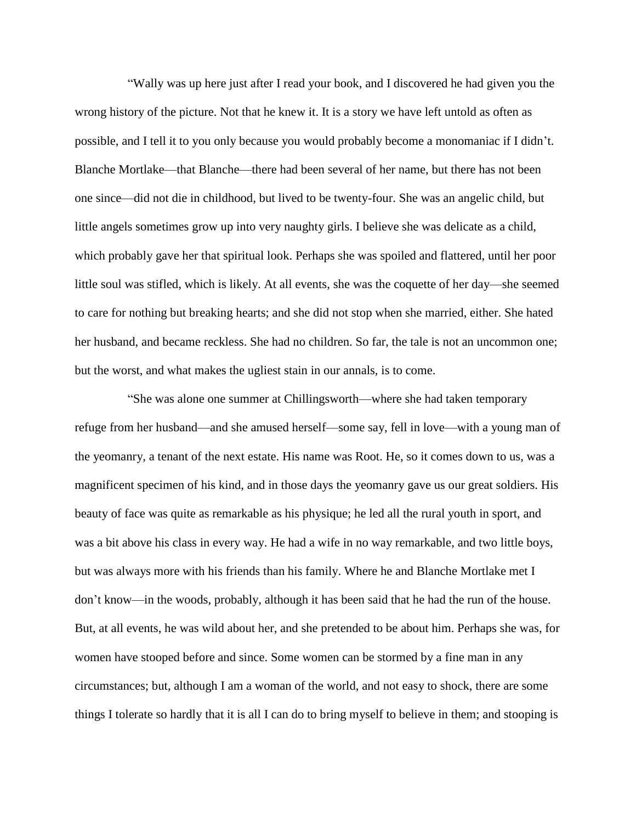"Wally was up here just after I read your book, and I discovered he had given you the wrong history of the picture. Not that he knew it. It is a story we have left untold as often as possible, and I tell it to you only because you would probably become a monomaniac if I didn't. Blanche Mortlake—that Blanche—there had been several of her name, but there has not been one since—did not die in childhood, but lived to be twenty-four. She was an angelic child, but little angels sometimes grow up into very naughty girls. I believe she was delicate as a child, which probably gave her that spiritual look. Perhaps she was spoiled and flattered, until her poor little soul was stifled, which is likely. At all events, she was the coquette of her day—she seemed to care for nothing but breaking hearts; and she did not stop when she married, either. She hated her husband, and became reckless. She had no children. So far, the tale is not an uncommon one; but the worst, and what makes the ugliest stain in our annals, is to come.

 "She was alone one summer at Chillingsworth—where she had taken temporary refuge from her husband—and she amused herself—some say, fell in love—with a young man of the yeomanry, a tenant of the next estate. His name was Root. He, so it comes down to us, was a magnificent specimen of his kind, and in those days the yeomanry gave us our great soldiers. His beauty of face was quite as remarkable as his physique; he led all the rural youth in sport, and was a bit above his class in every way. He had a wife in no way remarkable, and two little boys, but was always more with his friends than his family. Where he and Blanche Mortlake met I don't know—in the woods, probably, although it has been said that he had the run of the house. But, at all events, he was wild about her, and she pretended to be about him. Perhaps she was, for women have stooped before and since. Some women can be stormed by a fine man in any circumstances; but, although I am a woman of the world, and not easy to shock, there are some things I tolerate so hardly that it is all I can do to bring myself to believe in them; and stooping is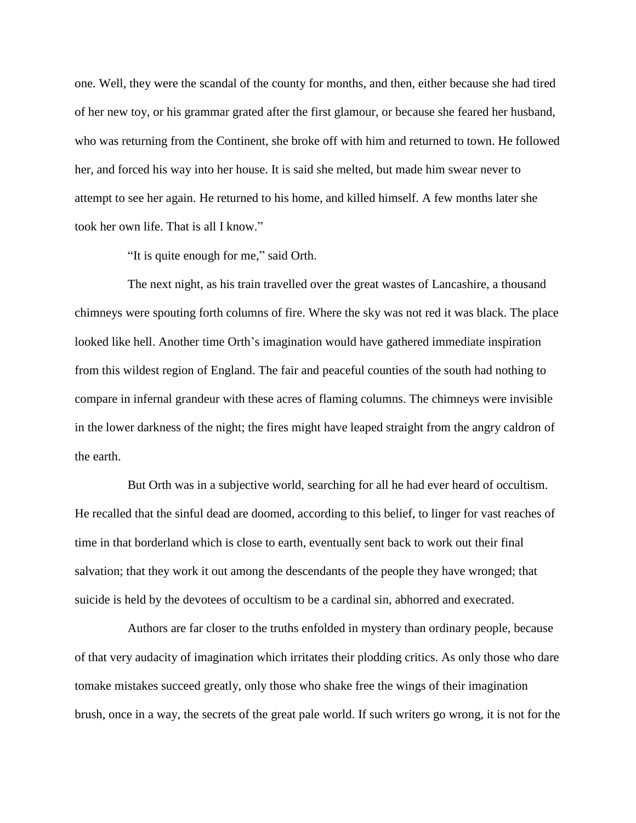one. Well, they were the scandal of the county for months, and then, either because she had tired of her new toy, or his grammar grated after the first glamour, or because she feared her husband, who was returning from the Continent, she broke off with him and returned to town. He followed her, and forced his way into her house. It is said she melted, but made him swear never to attempt to see her again. He returned to his home, and killed himself. A few months later she took her own life. That is all I know."

"It is quite enough for me," said Orth.

 The next night, as his train travelled over the great wastes of Lancashire, a thousand chimneys were spouting forth columns of fire. Where the sky was not red it was black. The place looked like hell. Another time Orth's imagination would have gathered immediate inspiration from this wildest region of England. The fair and peaceful counties of the south had nothing to compare in infernal grandeur with these acres of flaming columns. The chimneys were invisible in the lower darkness of the night; the fires might have leaped straight from the angry caldron of the earth.

 But Orth was in a subjective world, searching for all he had ever heard of occultism. He recalled that the sinful dead are doomed, according to this belief, to linger for vast reaches of time in that borderland which is close to earth, eventually sent back to work out their final salvation; that they work it out among the descendants of the people they have wronged; that suicide is held by the devotees of occultism to be a cardinal sin, abhorred and execrated.

 Authors are far closer to the truths enfolded in mystery than ordinary people, because of that very audacity of imagination which irritates their plodding critics. As only those who dare tomake mistakes succeed greatly, only those who shake free the wings of their imagination brush, once in a way, the secrets of the great pale world. If such writers go wrong, it is not for the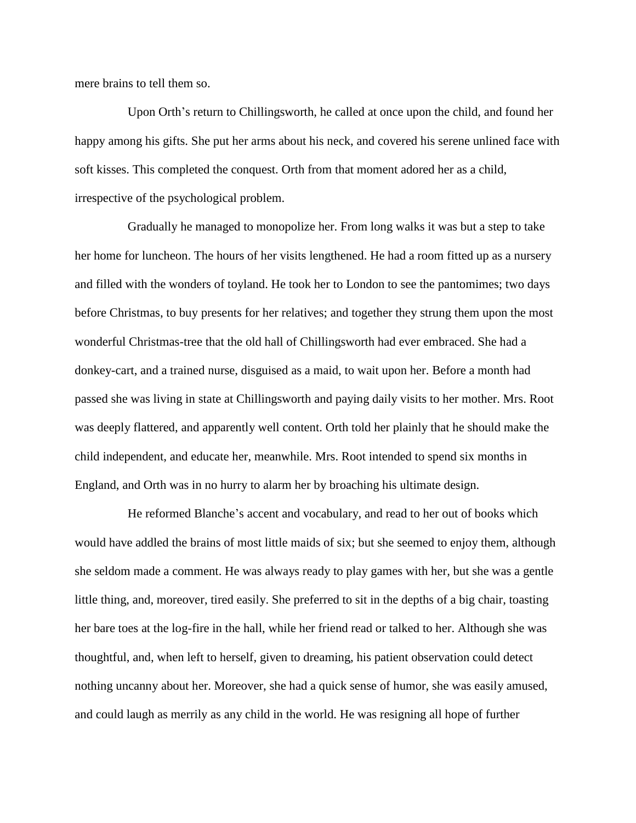mere brains to tell them so.

 Upon Orth's return to Chillingsworth, he called at once upon the child, and found her happy among his gifts. She put her arms about his neck, and covered his serene unlined face with soft kisses. This completed the conquest. Orth from that moment adored her as a child, irrespective of the psychological problem.

 Gradually he managed to monopolize her. From long walks it was but a step to take her home for luncheon. The hours of her visits lengthened. He had a room fitted up as a nursery and filled with the wonders of toyland. He took her to London to see the pantomimes; two days before Christmas, to buy presents for her relatives; and together they strung them upon the most wonderful Christmas-tree that the old hall of Chillingsworth had ever embraced. She had a donkey-cart, and a trained nurse, disguised as a maid, to wait upon her. Before a month had passed she was living in state at Chillingsworth and paying daily visits to her mother. Mrs. Root was deeply flattered, and apparently well content. Orth told her plainly that he should make the child independent, and educate her, meanwhile. Mrs. Root intended to spend six months in England, and Orth was in no hurry to alarm her by broaching his ultimate design.

 He reformed Blanche's accent and vocabulary, and read to her out of books which would have addled the brains of most little maids of six; but she seemed to enjoy them, although she seldom made a comment. He was always ready to play games with her, but she was a gentle little thing, and, moreover, tired easily. She preferred to sit in the depths of a big chair, toasting her bare toes at the log-fire in the hall, while her friend read or talked to her. Although she was thoughtful, and, when left to herself, given to dreaming, his patient observation could detect nothing uncanny about her. Moreover, she had a quick sense of humor, she was easily amused, and could laugh as merrily as any child in the world. He was resigning all hope of further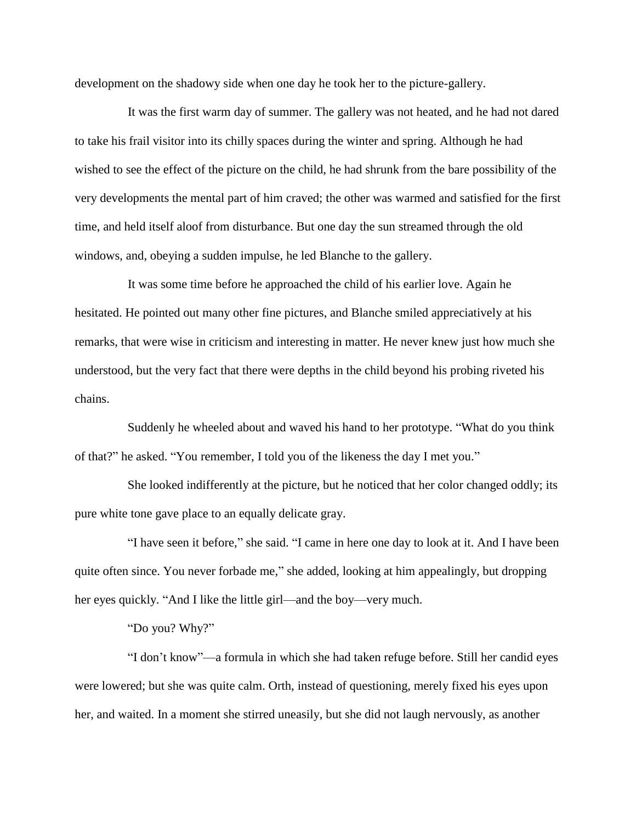development on the shadowy side when one day he took her to the picture-gallery.

 It was the first warm day of summer. The gallery was not heated, and he had not dared to take his frail visitor into its chilly spaces during the winter and spring. Although he had wished to see the effect of the picture on the child, he had shrunk from the bare possibility of the very developments the mental part of him craved; the other was warmed and satisfied for the first time, and held itself aloof from disturbance. But one day the sun streamed through the old windows, and, obeying a sudden impulse, he led Blanche to the gallery.

 It was some time before he approached the child of his earlier love. Again he hesitated. He pointed out many other fine pictures, and Blanche smiled appreciatively at his remarks, that were wise in criticism and interesting in matter. He never knew just how much she understood, but the very fact that there were depths in the child beyond his probing riveted his chains.

 Suddenly he wheeled about and waved his hand to her prototype. "What do you think of that?" he asked. "You remember, I told you of the likeness the day I met you."

 She looked indifferently at the picture, but he noticed that her color changed oddly; its pure white tone gave place to an equally delicate gray.

 "I have seen it before," she said. "I came in here one day to look at it. And I have been quite often since. You never forbade me," she added, looking at him appealingly, but dropping her eyes quickly. "And I like the little girl—and the boy—very much.

"Do you? Why?"

 "I don't know"—a formula in which she had taken refuge before. Still her candid eyes were lowered; but she was quite calm. Orth, instead of questioning, merely fixed his eyes upon her, and waited. In a moment she stirred uneasily, but she did not laugh nervously, as another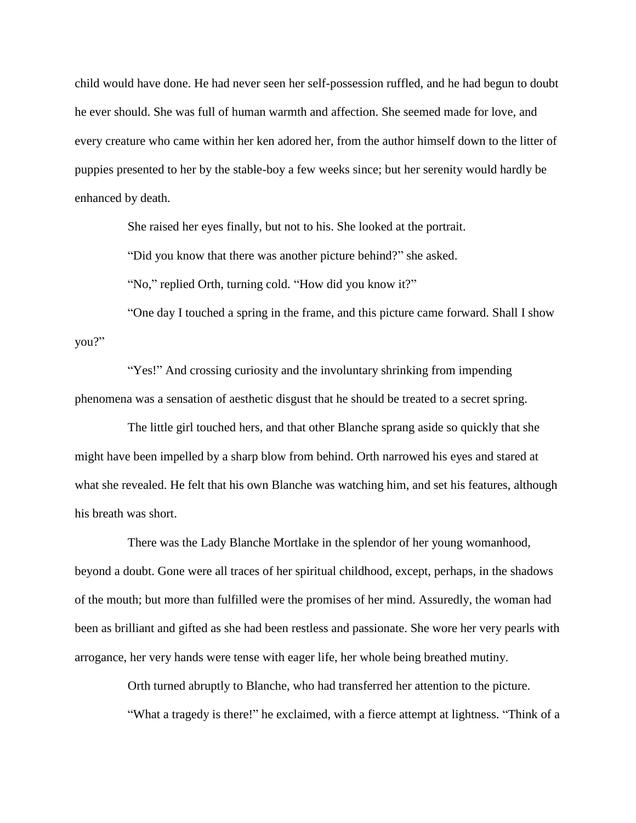child would have done. He had never seen her self-possession ruffled, and he had begun to doubt he ever should. She was full of human warmth and affection. She seemed made for love, and every creature who came within her ken adored her, from the author himself down to the litter of puppies presented to her by the stable-boy a few weeks since; but her serenity would hardly be enhanced by death.

She raised her eyes finally, but not to his. She looked at the portrait.

"Did you know that there was another picture behind?" she asked.

"No," replied Orth, turning cold. "How did you know it?"

 "One day I touched a spring in the frame, and this picture came forward. Shall I show you?"

 "Yes!" And crossing curiosity and the involuntary shrinking from impending phenomena was a sensation of aesthetic disgust that he should be treated to a secret spring.

 The little girl touched hers, and that other Blanche sprang aside so quickly that she might have been impelled by a sharp blow from behind. Orth narrowed his eyes and stared at what she revealed. He felt that his own Blanche was watching him, and set his features, although his breath was short.

 There was the Lady Blanche Mortlake in the splendor of her young womanhood, beyond a doubt. Gone were all traces of her spiritual childhood, except, perhaps, in the shadows of the mouth; but more than fulfilled were the promises of her mind. Assuredly, the woman had been as brilliant and gifted as she had been restless and passionate. She wore her very pearls with arrogance, her very hands were tense with eager life, her whole being breathed mutiny.

Orth turned abruptly to Blanche, who had transferred her attention to the picture.

"What a tragedy is there!" he exclaimed, with a fierce attempt at lightness. "Think of a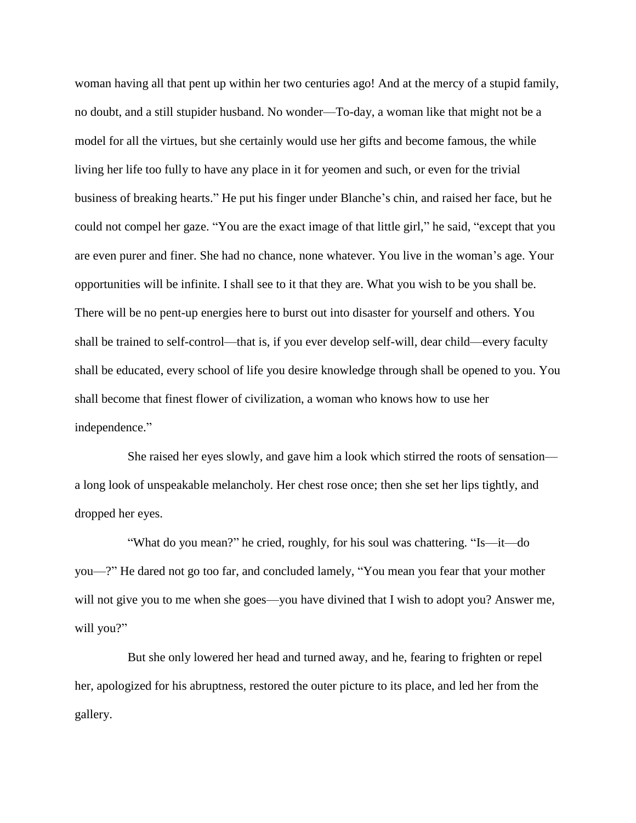woman having all that pent up within her two centuries ago! And at the mercy of a stupid family, no doubt, and a still stupider husband. No wonder—To-day, a woman like that might not be a model for all the virtues, but she certainly would use her gifts and become famous, the while living her life too fully to have any place in it for yeomen and such, or even for the trivial business of breaking hearts." He put his finger under Blanche's chin, and raised her face, but he could not compel her gaze. "You are the exact image of that little girl," he said, "except that you are even purer and finer. She had no chance, none whatever. You live in the woman's age. Your opportunities will be infinite. I shall see to it that they are. What you wish to be you shall be. There will be no pent-up energies here to burst out into disaster for yourself and others. You shall be trained to self-control—that is, if you ever develop self-will, dear child—every faculty shall be educated, every school of life you desire knowledge through shall be opened to you. You shall become that finest flower of civilization, a woman who knows how to use her independence."

 She raised her eyes slowly, and gave him a look which stirred the roots of sensation a long look of unspeakable melancholy. Her chest rose once; then she set her lips tightly, and dropped her eyes.

 "What do you mean?" he cried, roughly, for his soul was chattering. "Is—it—do you—?" He dared not go too far, and concluded lamely, "You mean you fear that your mother will not give you to me when she goes—you have divined that I wish to adopt you? Answer me, will you?"

 But she only lowered her head and turned away, and he, fearing to frighten or repel her, apologized for his abruptness, restored the outer picture to its place, and led her from the gallery.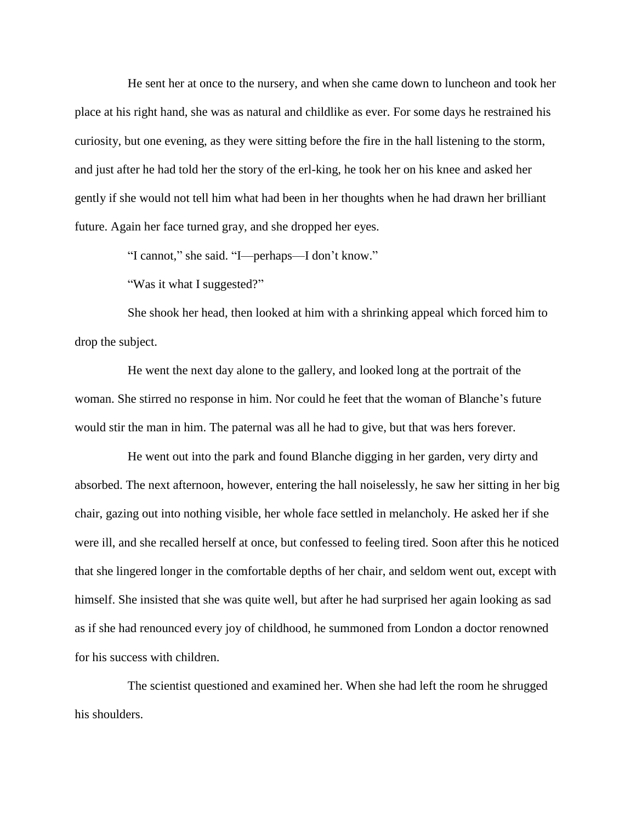He sent her at once to the nursery, and when she came down to luncheon and took her place at his right hand, she was as natural and childlike as ever. For some days he restrained his curiosity, but one evening, as they were sitting before the fire in the hall listening to the storm, and just after he had told her the story of the erl-king, he took her on his knee and asked her gently if she would not tell him what had been in her thoughts when he had drawn her brilliant future. Again her face turned gray, and she dropped her eyes.

"I cannot," she said. "I—perhaps—I don't know."

"Was it what I suggested?"

 She shook her head, then looked at him with a shrinking appeal which forced him to drop the subject.

 He went the next day alone to the gallery, and looked long at the portrait of the woman. She stirred no response in him. Nor could he feet that the woman of Blanche's future would stir the man in him. The paternal was all he had to give, but that was hers forever.

 He went out into the park and found Blanche digging in her garden, very dirty and absorbed. The next afternoon, however, entering the hall noiselessly, he saw her sitting in her big chair, gazing out into nothing visible, her whole face settled in melancholy. He asked her if she were ill, and she recalled herself at once, but confessed to feeling tired. Soon after this he noticed that she lingered longer in the comfortable depths of her chair, and seldom went out, except with himself. She insisted that she was quite well, but after he had surprised her again looking as sad as if she had renounced every joy of childhood, he summoned from London a doctor renowned for his success with children.

 The scientist questioned and examined her. When she had left the room he shrugged his shoulders.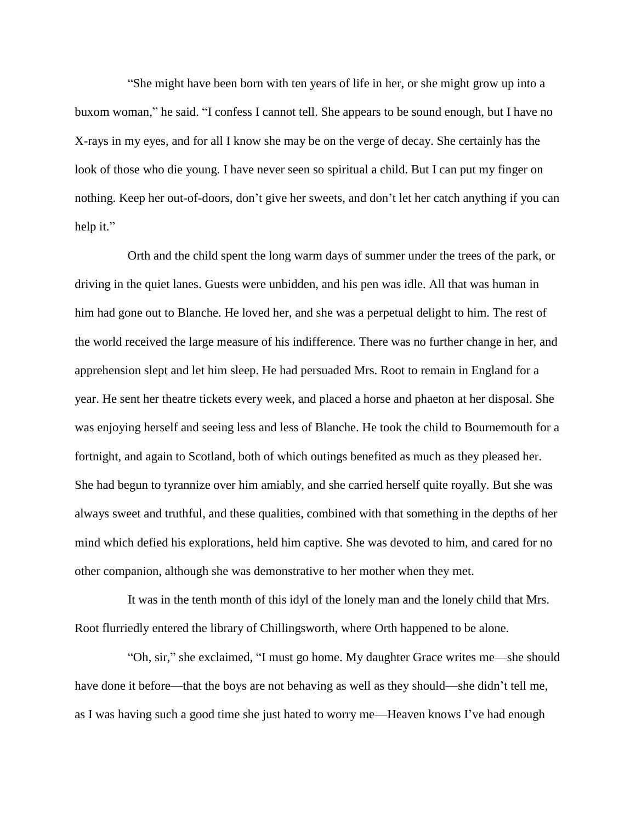"She might have been born with ten years of life in her, or she might grow up into a buxom woman," he said. "I confess I cannot tell. She appears to be sound enough, but I have no X-rays in my eyes, and for all I know she may be on the verge of decay. She certainly has the look of those who die young. I have never seen so spiritual a child. But I can put my finger on nothing. Keep her out-of-doors, don't give her sweets, and don't let her catch anything if you can help it."

 Orth and the child spent the long warm days of summer under the trees of the park, or driving in the quiet lanes. Guests were unbidden, and his pen was idle. All that was human in him had gone out to Blanche. He loved her, and she was a perpetual delight to him. The rest of the world received the large measure of his indifference. There was no further change in her, and apprehension slept and let him sleep. He had persuaded Mrs. Root to remain in England for a year. He sent her theatre tickets every week, and placed a horse and phaeton at her disposal. She was enjoying herself and seeing less and less of Blanche. He took the child to Bournemouth for a fortnight, and again to Scotland, both of which outings benefited as much as they pleased her. She had begun to tyrannize over him amiably, and she carried herself quite royally. But she was always sweet and truthful, and these qualities, combined with that something in the depths of her mind which defied his explorations, held him captive. She was devoted to him, and cared for no other companion, although she was demonstrative to her mother when they met.

 It was in the tenth month of this idyl of the lonely man and the lonely child that Mrs. Root flurriedly entered the library of Chillingsworth, where Orth happened to be alone.

 "Oh, sir," she exclaimed, "I must go home. My daughter Grace writes me—she should have done it before—that the boys are not behaving as well as they should—she didn't tell me, as I was having such a good time she just hated to worry me—Heaven knows I've had enough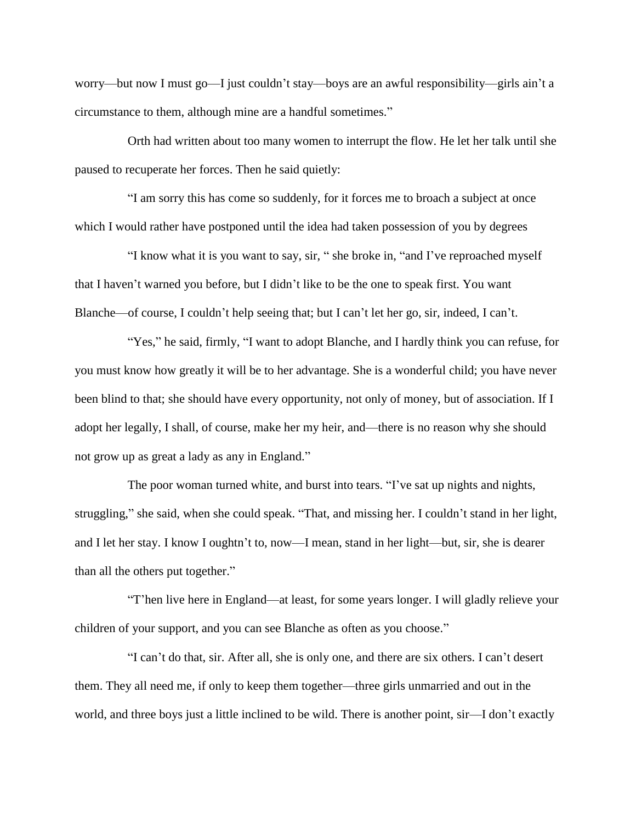worry—but now I must go—I just couldn't stay—boys are an awful responsibility—girls ain't a circumstance to them, although mine are a handful sometimes."

 Orth had written about too many women to interrupt the flow. He let her talk until she paused to recuperate her forces. Then he said quietly:

 "I am sorry this has come so suddenly, for it forces me to broach a subject at once which I would rather have postponed until the idea had taken possession of you by degrees

 "I know what it is you want to say, sir, " she broke in, "and I've reproached myself that I haven't warned you before, but I didn't like to be the one to speak first. You want Blanche—of course, I couldn't help seeing that; but I can't let her go, sir, indeed, I can't.

 "Yes," he said, firmly, "I want to adopt Blanche, and I hardly think you can refuse, for you must know how greatly it will be to her advantage. She is a wonderful child; you have never been blind to that; she should have every opportunity, not only of money, but of association. If I adopt her legally, I shall, of course, make her my heir, and—there is no reason why she should not grow up as great a lady as any in England."

 The poor woman turned white, and burst into tears. "I've sat up nights and nights, struggling," she said, when she could speak. "That, and missing her. I couldn't stand in her light, and I let her stay. I know I oughtn't to, now—I mean, stand in her light—but, sir, she is dearer than all the others put together."

 "T'hen live here in England—at least, for some years longer. I will gladly relieve your children of your support, and you can see Blanche as often as you choose."

 "I can't do that, sir. After all, she is only one, and there are six others. I can't desert them. They all need me, if only to keep them together—three girls unmarried and out in the world, and three boys just a little inclined to be wild. There is another point, sir—I don't exactly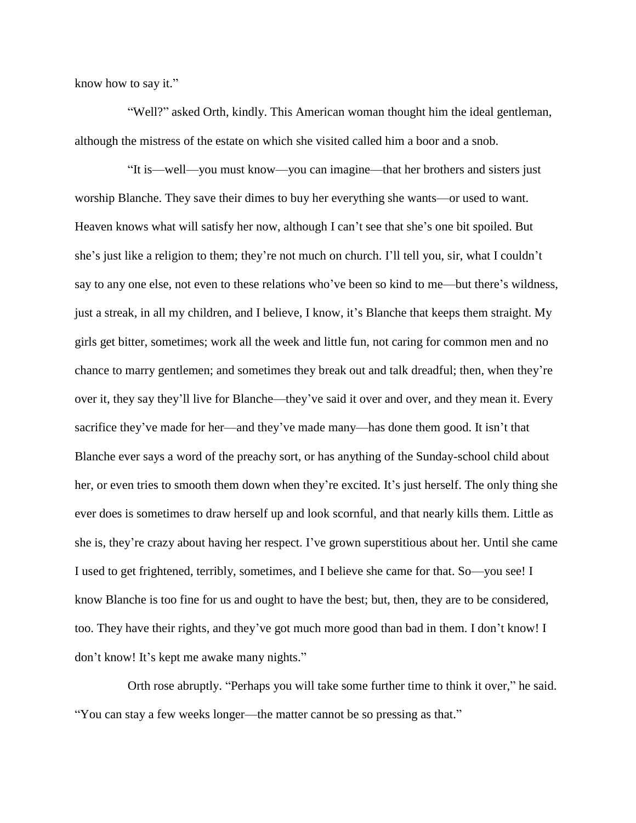know how to say it."

 "Well?" asked Orth, kindly. This American woman thought him the ideal gentleman, although the mistress of the estate on which she visited called him a boor and a snob.

 "It is—well—you must know—you can imagine—that her brothers and sisters just worship Blanche. They save their dimes to buy her everything she wants—or used to want. Heaven knows what will satisfy her now, although I can't see that she's one bit spoiled. But she's just like a religion to them; they're not much on church. I'll tell you, sir, what I couldn't say to any one else, not even to these relations who've been so kind to me—but there's wildness, just a streak, in all my children, and I believe, I know, it's Blanche that keeps them straight. My girls get bitter, sometimes; work all the week and little fun, not caring for common men and no chance to marry gentlemen; and sometimes they break out and talk dreadful; then, when they're over it, they say they'll live for Blanche—they've said it over and over, and they mean it. Every sacrifice they've made for her—and they've made many—has done them good. It isn't that Blanche ever says a word of the preachy sort, or has anything of the Sunday-school child about her, or even tries to smooth them down when they're excited. It's just herself. The only thing she ever does is sometimes to draw herself up and look scornful, and that nearly kills them. Little as she is, they're crazy about having her respect. I've grown superstitious about her. Until she came I used to get frightened, terribly, sometimes, and I believe she came for that. So—you see! I know Blanche is too fine for us and ought to have the best; but, then, they are to be considered, too. They have their rights, and they've got much more good than bad in them. I don't know! I don't know! It's kept me awake many nights."

 Orth rose abruptly. "Perhaps you will take some further time to think it over," he said. "You can stay a few weeks longer—the matter cannot be so pressing as that."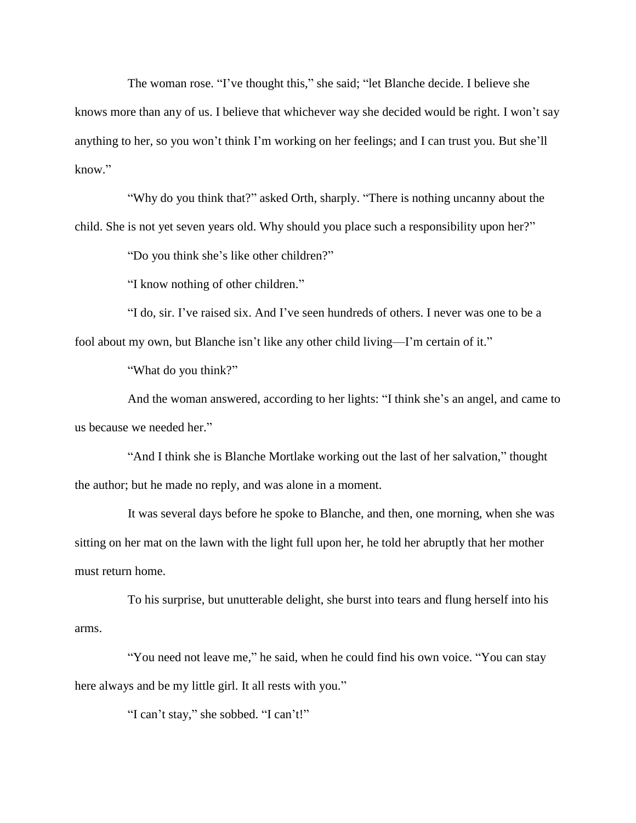The woman rose. "I've thought this," she said; "let Blanche decide. I believe she knows more than any of us. I believe that whichever way she decided would be right. I won't say anything to her, so you won't think I'm working on her feelings; and I can trust you. But she'll know."

 "Why do you think that?" asked Orth, sharply. "There is nothing uncanny about the child. She is not yet seven years old. Why should you place such a responsibility upon her?"

"Do you think she's like other children?"

"I know nothing of other children."

 "I do, sir. I've raised six. And I've seen hundreds of others. I never was one to be a fool about my own, but Blanche isn't like any other child living—I'm certain of it."

"What do you think?"

 And the woman answered, according to her lights: "I think she's an angel, and came to us because we needed her."

 "And I think she is Blanche Mortlake working out the last of her salvation," thought the author; but he made no reply, and was alone in a moment.

 It was several days before he spoke to Blanche, and then, one morning, when she was sitting on her mat on the lawn with the light full upon her, he told her abruptly that her mother must return home.

 To his surprise, but unutterable delight, she burst into tears and flung herself into his arms.

 "You need not leave me," he said, when he could find his own voice. "You can stay here always and be my little girl. It all rests with you."

"I can't stay," she sobbed. "I can't!"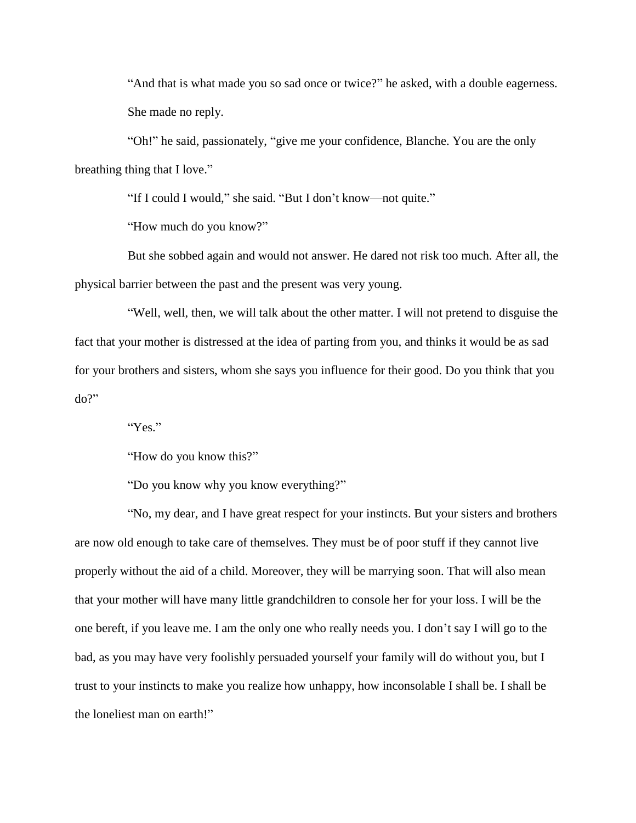"And that is what made you so sad once or twice?" he asked, with a double eagerness. She made no reply.

 "Oh!" he said, passionately, "give me your confidence, Blanche. You are the only breathing thing that I love."

"If I could I would," she said. "But I don't know—not quite."

"How much do you know?"

 But she sobbed again and would not answer. He dared not risk too much. After all, the physical barrier between the past and the present was very young.

 "Well, well, then, we will talk about the other matter. I will not pretend to disguise the fact that your mother is distressed at the idea of parting from you, and thinks it would be as sad for your brothers and sisters, whom she says you influence for their good. Do you think that you do?"

"Yes."

"How do you know this?"

"Do you know why you know everything?"

 "No, my dear, and I have great respect for your instincts. But your sisters and brothers are now old enough to take care of themselves. They must be of poor stuff if they cannot live properly without the aid of a child. Moreover, they will be marrying soon. That will also mean that your mother will have many little grandchildren to console her for your loss. I will be the one bereft, if you leave me. I am the only one who really needs you. I don't say I will go to the bad, as you may have very foolishly persuaded yourself your family will do without you, but I trust to your instincts to make you realize how unhappy, how inconsolable I shall be. I shall be the loneliest man on earth!"